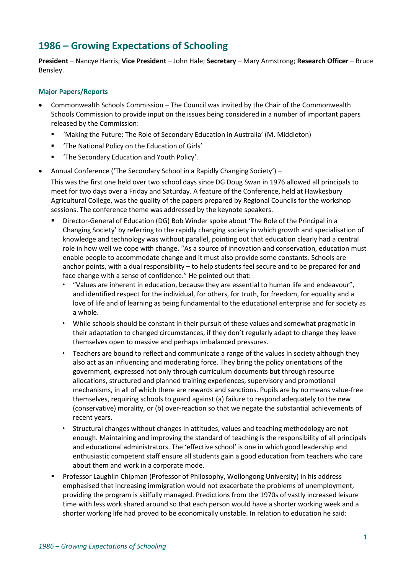# **1986 – Growing Expectations of Schooling**

**President** – Nancye Harris; **Vice President** – John Hale; **Secretary** – Mary Armstrong; **Research Officer** – Bruce Bensley.

# **Major Papers/Reports**

- Commonwealth Schools Commission The Council was invited by the Chair of the Commonwealth Schools Commission to provide input on the issues being considered in a number of important papers released by the Commission:
	- 'Making the Future: The Role of Secondary Education in Australia' (M. Middleton)
	- 'The National Policy on the Education of Girls'
	- The Secondary Education and Youth Policy'.
- Annual Conference ('The Secondary School in a Rapidly Changing Society') –

This was the first one held over two school days since DG Doug Swan in 1976 allowed all principals to meet for two days over a Friday and Saturday. A feature of the Conference, held at Hawkesbury Agricultural College, was the quality of the papers prepared by Regional Councils for the workshop sessions. The conference theme was addressed by the keynote speakers.

- Director-General of Education (DG) Bob Winder spoke about 'The Role of the Principal in a Changing Society' by referring to the rapidly changing society in which growth and specialisation of knowledge and technology was without parallel, pointing out that education clearly had a central role in how well we cope with change. "As a source of innovation and conservation, education must enable people to accommodate change and it must also provide some constants. Schools are anchor points, with a dual responsibility – to help students feel secure and to be prepared for and face change with a sense of confidence." He pointed out that:
	- "Values are inherent in education, because they are essential to human life and endeavour", and identified respect for the individual, for others, for truth, for freedom, for equality and a love of life and of learning as being fundamental to the educational enterprise and for society as a whole.
	- While schools should be constant in their pursuit of these values and somewhat pragmatic in their adaptation to changed circumstances, if they don't regularly adapt to change they leave themselves open to massive and perhaps imbalanced pressures.
	- Teachers are bound to reflect and communicate a range of the values in society although they also act as an influencing and moderating force. They bring the policy orientations of the government, expressed not only through curriculum documents but through resource allocations, structured and planned training experiences, supervisory and promotional mechanisms, in all of which there are rewards and sanctions. Pupils are by no means value-free themselves, requiring schools to guard against (a) failure to respond adequately to the new (conservative) morality, or (b) over-reaction so that we negate the substantial achievements of recent years.
	- Structural changes without changes in attitudes, values and teaching methodology are not enough. Maintaining and improving the standard of teaching is the responsibility of all principals and educational administrators. The 'effective school' is one in which good leadership and enthusiastic competent staff ensure all students gain a good education from teachers who care about them and work in a corporate mode.
- Professor Laughlin Chipman (Professor of Philosophy, Wollongong University) in his address emphasised that increasing immigration would not exacerbate the problems of unemployment, providing the program is skilfully managed. Predictions from the 1970s of vastly increased leisure time with less work shared around so that each person would have a shorter working week and a shorter working life had proved to be economically unstable. In relation to education he said: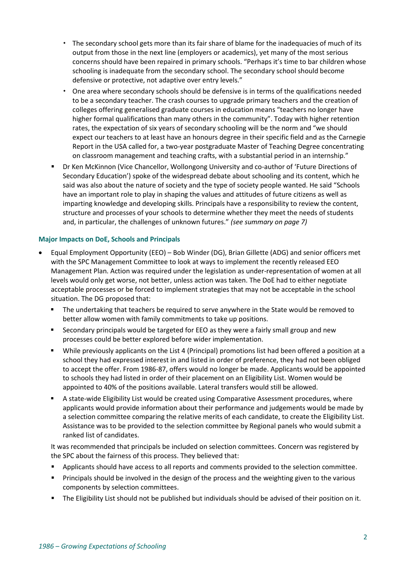- The secondary school gets more than its fair share of blame for the inadequacies of much of its output from those in the next line (employers or academics), yet many of the most serious concerns should have been repaired in primary schools. "Perhaps it's time to bar children whose schooling is inadequate from the secondary school. The secondary school should become defensive or protective, not adaptive over entry levels."
- One area where secondary schools should be defensive is in terms of the qualifications needed to be a secondary teacher. The crash courses to upgrade primary teachers and the creation of colleges offering generalised graduate courses in education means "teachers no longer have higher formal qualifications than many others in the community". Today with higher retention rates, the expectation of six years of secondary schooling will be the norm and "we should expect our teachers to at least have an honours degree in their specific field and as the Carnegie Report in the USA called for, a two-year postgraduate Master of Teaching Degree concentrating on classroom management and teaching crafts, with a substantial period in an internship."
- **Dr Ken McKinnon (Vice Chancellor, Wollongong University and co-author of 'Future Directions of** Secondary Education') spoke of the widespread debate about schooling and its content, which he said was also about the nature of society and the type of society people wanted. He said "Schools have an important role to play in shaping the values and attitudes of future citizens as well as imparting knowledge and developing skills. Principals have a responsibility to review the content, structure and processes of your schools to determine whether they meet the needs of students and, in particular, the challenges of unknown futures." *(see summary on page 7)*

# **Major Impacts on DoE, Schools and Principals**

- Equal Employment Opportunity (EEO) Bob Winder (DG), Brian Gillette (ADG) and senior officers met with the SPC Management Committee to look at ways to implement the recently released EEO Management Plan. Action was required under the legislation as under-representation of women at all levels would only get worse, not better, unless action was taken. The DoE had to either negotiate acceptable processes or be forced to implement strategies that may not be acceptable in the school situation. The DG proposed that:
	- The undertaking that teachers be required to serve anywhere in the State would be removed to better allow women with family commitments to take up positions.
	- **EXECO** Secondary principals would be targeted for EEO as they were a fairly small group and new processes could be better explored before wider implementation.
	- While previously applicants on the List 4 (Principal) promotions list had been offered a position at a school they had expressed interest in and listed in order of preference, they had not been obliged to accept the offer. From 1986-87, offers would no longer be made. Applicants would be appointed to schools they had listed in order of their placement on an Eligibility List. Women would be appointed to 40% of the positions available. Lateral transfers would still be allowed.
	- A state-wide Eligibility List would be created using Comparative Assessment procedures, where applicants would provide information about their performance and judgements would be made by a selection committee comparing the relative merits of each candidate, to create the Eligibility List. Assistance was to be provided to the selection committee by Regional panels who would submit a ranked list of candidates.

It was recommended that principals be included on selection committees. Concern was registered by the SPC about the fairness of this process. They believed that:

- Applicants should have access to all reports and comments provided to the selection committee.
- **•** Principals should be involved in the design of the process and the weighting given to the various components by selection committees.
- The Eligibility List should not be published but individuals should be advised of their position on it.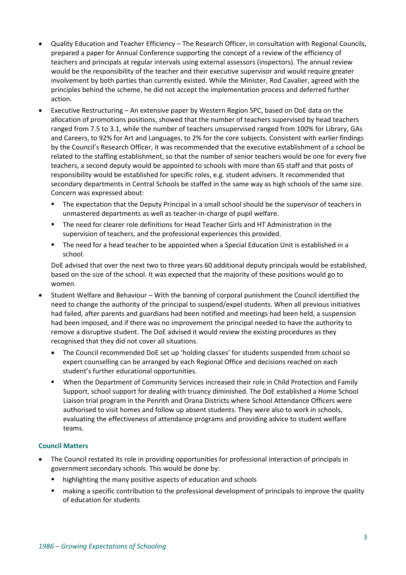- Quality Education and Teacher Efficiency The Research Officer, in consultation with Regional Councils, prepared a paper for Annual Conference supporting the concept of a review of the efficiency of teachers and principals at regular intervals using external assessors (inspectors). The annual review would be the responsibility of the teacher and their executive supervisor and would require greater involvement by both parties than currently existed. While the Minister, Rod Cavalier, agreed with the principles behind the scheme, he did not accept the implementation process and deferred further action.
- Executive Restructuring An extensive paper by Western Region SPC, based on DoE data on the allocation of promotions positions, showed that the number of teachers supervised by head teachers ranged from 7.5 to 3.1, while the number of teachers unsupervised ranged from 100% for Library, GAs and Careers, to 92% for Art and Languages, to 2% for the core subjects. Consistent with earlier findings by the Council's Research Officer, it was recommended that the executive establishment of a school be related to the staffing establishment, so that the number of senior teachers would be one for every five teachers, a second deputy would be appointed to schools with more than 65 staff and that posts of responsibility would be established for specific roles, e.g. student advisers. It recommended that secondary departments in Central Schools be staffed in the same way as high schools of the same size. Concern was expressed about:
	- **■** The expectation that the Deputy Principal in a small school should be the supervisor of teachers in unmastered departments as well as teacher-in-charge of pupil welfare.
	- The need for clearer role definitions for Head Teacher Girls and HT Administration in the supervision of teachers, and the professional experiences this provided.
	- The need for a head teacher to be appointed when a Special Education Unit is established in a school.

DoE advised that over the next two to three years 60 additional deputy principals would be established, based on the size of the school. It was expected that the majority of these positions would go to women.

- Student Welfare and Behaviour With the banning of corporal punishment the Council identified the need to change the authority of the principal to suspend/expel students. When all previous initiatives had failed, after parents and guardians had been notified and meetings had been held, a suspension had been imposed, and if there was no improvement the principal needed to have the authority to remove a disruptive student. The DoE advised it would review the existing procedures as they recognised that they did not cover all situations.
	- The Council recommended DoE set up 'holding classes' for students suspended from school so expert counselling can be arranged by each Regional Office and decisions reached on each student's further educational opportunities.
	- When the Department of Community Services increased their role in Child Protection and Family Support, school support for dealing with truancy diminished. The DoE established a Home School Liaison trial program in the Penrith and Orana Districts where School Attendance Officers were authorised to visit homes and follow up absent students. They were also to work in schools, evaluating the effectiveness of attendance programs and providing advice to student welfare teams.

# **Council Matters**

- The Council restated its role in providing opportunities for professional interaction of principals in government secondary schools. This would be done by:
	- highlighting the many positive aspects of education and schools
	- making a specific contribution to the professional development of principals to improve the quality of education for students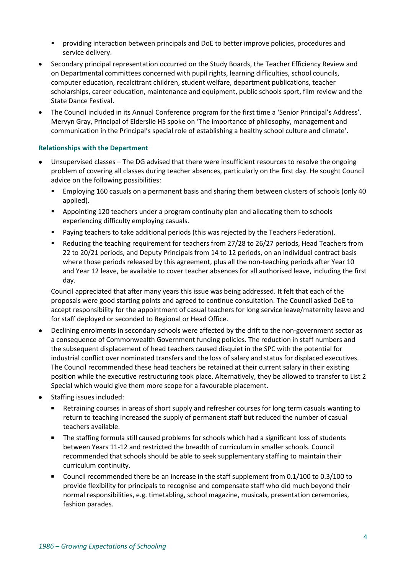- **•** providing interaction between principals and DoE to better improve policies, procedures and service delivery.
- Secondary principal representation occurred on the Study Boards, the Teacher Efficiency Review and on Departmental committees concerned with pupil rights, learning difficulties, school councils, computer education, recalcitrant children, student welfare, department publications, teacher scholarships, career education, maintenance and equipment, public schools sport, film review and the State Dance Festival.
- The Council included in its Annual Conference program for the first time a 'Senior Principal's Address'. Mervyn Gray, Principal of Elderslie HS spoke on 'The importance of philosophy, management and communication in the Principal's special role of establishing a healthy school culture and climate'.

# **Relationships with the Department**

- Unsupervised classes The DG advised that there were insufficient resources to resolve the ongoing problem of covering all classes during teacher absences, particularly on the first day. He sought Council advice on the following possibilities:
	- Employing 160 casuals on a permanent basis and sharing them between clusters of schools (only 40 applied).
	- **•** Appointing 120 teachers under a program continuity plan and allocating them to schools experiencing difficulty employing casuals.
	- Paying teachers to take additional periods (this was rejected by the Teachers Federation).
	- Reducing the teaching requirement for teachers from 27/28 to 26/27 periods, Head Teachers from 22 to 20/21 periods, and Deputy Principals from 14 to 12 periods, on an individual contract basis where those periods released by this agreement, plus all the non-teaching periods after Year 10 and Year 12 leave, be available to cover teacher absences for all authorised leave, including the first day.

Council appreciated that after many years this issue was being addressed. It felt that each of the proposals were good starting points and agreed to continue consultation. The Council asked DoE to accept responsibility for the appointment of casual teachers for long service leave/maternity leave and for staff deployed or seconded to Regional or Head Office.

- Declining enrolments in secondary schools were affected by the drift to the non-government sector as a consequence of Commonwealth Government funding policies. The reduction in staff numbers and the subsequent displacement of head teachers caused disquiet in the SPC with the potential for industrial conflict over nominated transfers and the loss of salary and status for displaced executives. The Council recommended these head teachers be retained at their current salary in their existing position while the executive restructuring took place. Alternatively, they be allowed to transfer to List 2 Special which would give them more scope for a favourable placement.
- Staffing issues included:
	- Retraining courses in areas of short supply and refresher courses for long term casuals wanting to return to teaching increased the supply of permanent staff but reduced the number of casual teachers available.
	- The staffing formula still caused problems for schools which had a significant loss of students between Years 11-12 and restricted the breadth of curriculum in smaller schools. Council recommended that schools should be able to seek supplementary staffing to maintain their curriculum continuity.
	- Council recommended there be an increase in the staff supplement from 0.1/100 to 0.3/100 to provide flexibility for principals to recognise and compensate staff who did much beyond their normal responsibilities, e.g. timetabling, school magazine, musicals, presentation ceremonies, fashion parades.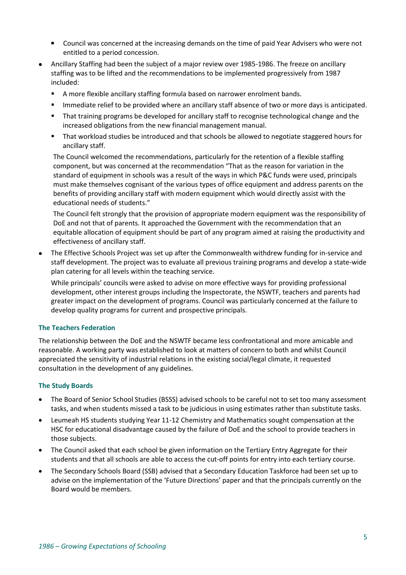- Council was concerned at the increasing demands on the time of paid Year Advisers who were not entitled to a period concession.
- Ancillary Staffing had been the subject of a major review over 1985-1986. The freeze on ancillary staffing was to be lifted and the recommendations to be implemented progressively from 1987 included:
	- A more flexible ancillary staffing formula based on narrower enrolment bands.
	- **Immediate relief to be provided where an ancillary staff absence of two or more days is anticipated.**
	- That training programs be developed for ancillary staff to recognise technological change and the increased obligations from the new financial management manual.
	- That workload studies be introduced and that schools be allowed to negotiate staggered hours for ancillary staff.

The Council welcomed the recommendations, particularly for the retention of a flexible staffing component, but was concerned at the recommendation "That as the reason for variation in the standard of equipment in schools was a result of the ways in which P&C funds were used, principals must make themselves cognisant of the various types of office equipment and address parents on the benefits of providing ancillary staff with modern equipment which would directly assist with the educational needs of students."

The Council felt strongly that the provision of appropriate modern equipment was the responsibility of DoE and not that of parents. It approached the Government with the recommendation that an equitable allocation of equipment should be part of any program aimed at raising the productivity and effectiveness of ancillary staff.

• The Effective Schools Project was set up after the Commonwealth withdrew funding for in-service and staff development. The project was to evaluate all previous training programs and develop a state-wide plan catering for all levels within the teaching service.

While principals' councils were asked to advise on more effective ways for providing professional development, other interest groups including the Inspectorate, the NSWTF, teachers and parents had greater impact on the development of programs. Council was particularly concerned at the failure to develop quality programs for current and prospective principals.

#### **The Teachers Federation**

The relationship between the DoE and the NSWTF became less confrontational and more amicable and reasonable. A working party was established to look at matters of concern to both and whilst Council appreciated the sensitivity of industrial relations in the existing social/legal climate, it requested consultation in the development of any guidelines.

#### **The Study Boards**

- The Board of Senior School Studies (BSSS) advised schools to be careful not to set too many assessment tasks, and when students missed a task to be judicious in using estimates rather than substitute tasks.
- Leumeah HS students studying Year 11-12 Chemistry and Mathematics sought compensation at the HSC for educational disadvantage caused by the failure of DoE and the school to provide teachers in those subjects.
- The Council asked that each school be given information on the Tertiary Entry Aggregate for their students and that all schools are able to access the cut-off points for entry into each tertiary course.
- The Secondary Schools Board (SSB) advised that a Secondary Education Taskforce had been set up to advise on the implementation of the 'Future Directions' paper and that the principals currently on the Board would be members.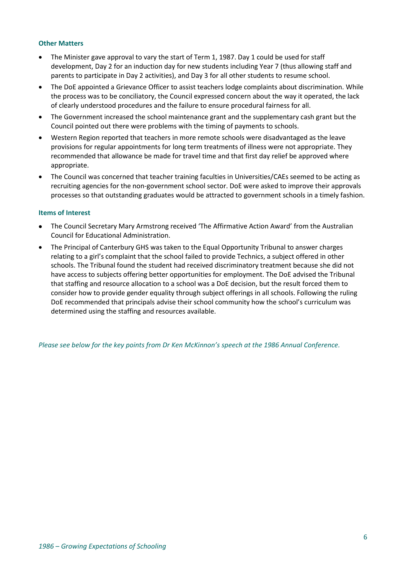#### **Other Matters**

- The Minister gave approval to vary the start of Term 1, 1987. Day 1 could be used for staff development, Day 2 for an induction day for new students including Year 7 (thus allowing staff and parents to participate in Day 2 activities), and Day 3 for all other students to resume school.
- The DoE appointed a Grievance Officer to assist teachers lodge complaints about discrimination. While the process was to be conciliatory, the Council expressed concern about the way it operated, the lack of clearly understood procedures and the failure to ensure procedural fairness for all.
- The Government increased the school maintenance grant and the supplementary cash grant but the Council pointed out there were problems with the timing of payments to schools.
- Western Region reported that teachers in more remote schools were disadvantaged as the leave provisions for regular appointments for long term treatments of illness were not appropriate. They recommended that allowance be made for travel time and that first day relief be approved where appropriate.
- The Council was concerned that teacher training faculties in Universities/CAEs seemed to be acting as recruiting agencies for the non-government school sector. DoE were asked to improve their approvals processes so that outstanding graduates would be attracted to government schools in a timely fashion.

#### **Items of Interest**

- The Council Secretary Mary Armstrong received 'The Affirmative Action Award' from the Australian Council for Educational Administration.
- The Principal of Canterbury GHS was taken to the Equal Opportunity Tribunal to answer charges relating to a girl's complaint that the school failed to provide Technics, a subject offered in other schools. The Tribunal found the student had received discriminatory treatment because she did not have access to subjects offering better opportunities for employment. The DoE advised the Tribunal that staffing and resource allocation to a school was a DoE decision, but the result forced them to consider how to provide gender equality through subject offerings in all schools. Following the ruling DoE recommended that principals advise their school community how the school's curriculum was determined using the staffing and resources available.

*Please see below for the key points from Dr Ken McKinnon's speech at the 1986 Annual Conference.*